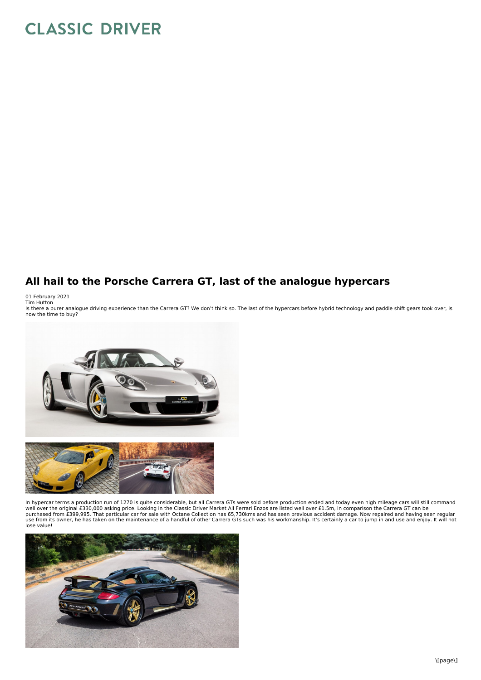## **CLASSIC DRIVER**

## **All hail to the Porsche Carrera GT, last of the analogue hypercars**

01 February 2021<br>Tim Hutton<br>Is there a purer analogue driving experience than the Carrera GT? We don't think so. The last of the hypercars before hybrid technology and paddle shift gears took over, is now the time to buy?



In hypercar terms a production run of 1270 is quite considerable, but all Carrera GTs were sold before production ended and today even high mileage cars will still command<br>well over the original £330,000 asking price. Look purchased from £399,995. That particular car for sale with Octane Collection has 65,730kms and has seen previous accident damage. Now repaired and having seen regular use from its owner, he has taken on the maintenance of a handful of other Carrera GTs such was his workmanship. It's certainly a car to jump in and use and enjoy. It will not lose value!